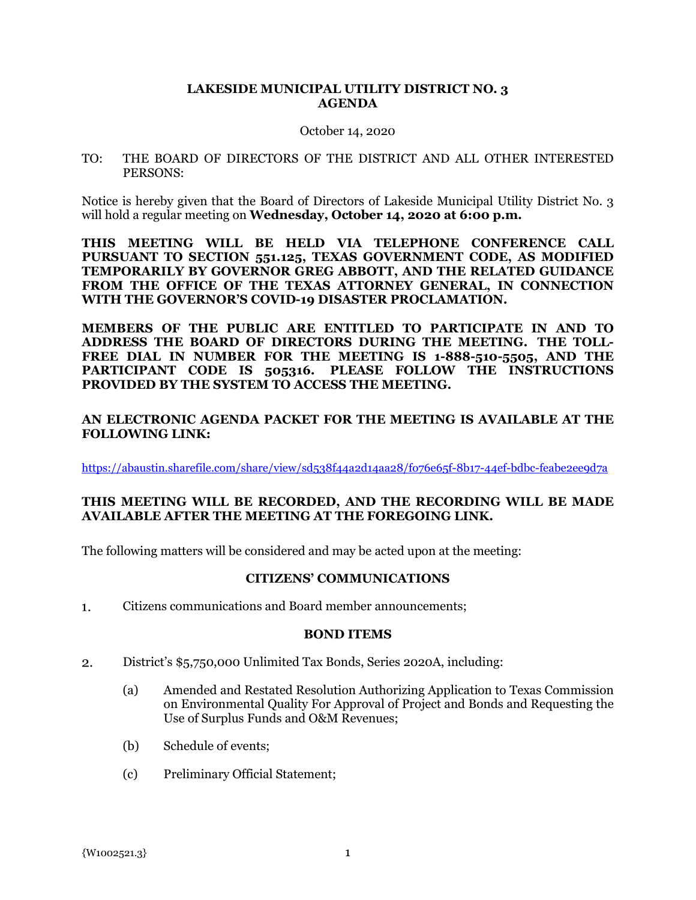## **LAKESIDE MUNICIPAL UTILITY DISTRICT NO. 3 AGENDA**

#### October 14, 2020

TO: THE BOARD OF DIRECTORS OF THE DISTRICT AND ALL OTHER INTERESTED PERSONS:

Notice is hereby given that the Board of Directors of Lakeside Municipal Utility District No. 3 will hold a regular meeting on **Wednesday, October 14, 2020 at 6:00 p.m.**

**THIS MEETING WILL BE HELD VIA TELEPHONE CONFERENCE CALL PURSUANT TO SECTION 551.125, TEXAS GOVERNMENT CODE, AS MODIFIED TEMPORARILY BY GOVERNOR GREG ABBOTT, AND THE RELATED GUIDANCE FROM THE OFFICE OF THE TEXAS ATTORNEY GENERAL, IN CONNECTION WITH THE GOVERNOR'S COVID-19 DISASTER PROCLAMATION.**

**MEMBERS OF THE PUBLIC ARE ENTITLED TO PARTICIPATE IN AND TO ADDRESS THE BOARD OF DIRECTORS DURING THE MEETING. THE TOLL-FREE DIAL IN NUMBER FOR THE MEETING IS 1-888-510-5505, AND THE PARTICIPANT CODE IS 505316. PLEASE FOLLOW THE INSTRUCTIONS PROVIDED BY THE SYSTEM TO ACCESS THE MEETING.**

# **AN ELECTRONIC AGENDA PACKET FOR THE MEETING IS AVAILABLE AT THE FOLLOWING LINK:**

https://abaustin.sharefile.com/share/view/sd538f44a2d14aa28/fo76e65f-8b17-44ef-bdbc-feabe2ee9d7a

## **THIS MEETING WILL BE RECORDED, AND THE RECORDING WILL BE MADE AVAILABLE AFTER THE MEETING AT THE FOREGOING LINK.**

The following matters will be considered and may be acted upon at the meeting:

### **CITIZENS' COMMUNICATIONS**

 $1.$ Citizens communications and Board member announcements;

### **BOND ITEMS**

- District's \$5,750,000 Unlimited Tax Bonds, Series 2020A, including:  $2.$ 
	- (a) Amended and Restated Resolution Authorizing Application to Texas Commission on Environmental Quality For Approval of Project and Bonds and Requesting the Use of Surplus Funds and O&M Revenues;
	- (b) Schedule of events;
	- (c) Preliminary Official Statement;